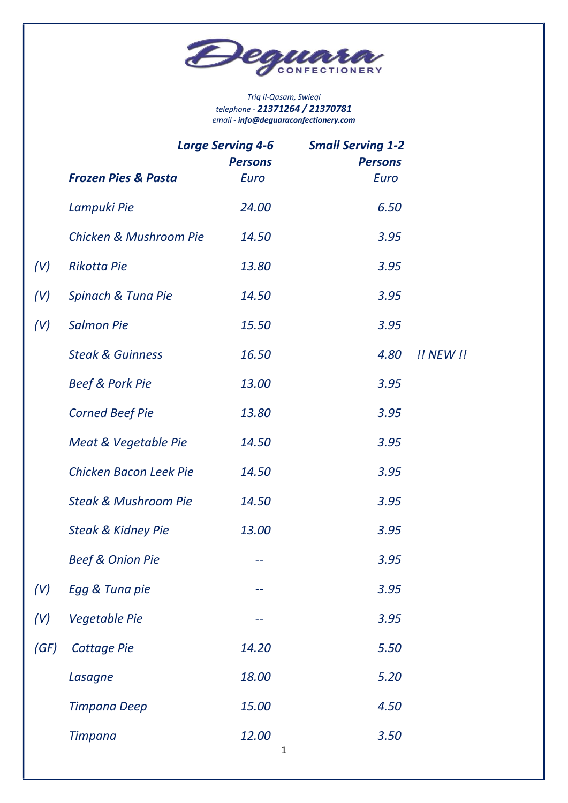

#### Triq il-Qasam, Swieqi telephone - 21371264 / 21370781 email - info@deguaraconfectionery.com

|      | <b>Large Serving 4-6</b><br><b>Persons</b> |                      | <b>Small Serving 1-2</b><br><b>Persons</b> |           |
|------|--------------------------------------------|----------------------|--------------------------------------------|-----------|
|      | <b>Frozen Pies &amp; Pasta</b>             | Euro                 | Euro                                       |           |
|      | Lampuki Pie                                | 24.00                | 6.50                                       |           |
|      | Chicken & Mushroom Pie                     | 14.50                | 3.95                                       |           |
| (V)  | <b>Rikotta Pie</b>                         | 13.80                | 3.95                                       |           |
| (V)  | Spinach & Tuna Pie                         | 14.50                | 3.95                                       |           |
| (V)  | <b>Salmon Pie</b>                          | 15.50                | 3.95                                       |           |
|      | <b>Steak &amp; Guinness</b>                | 16.50                | 4.80                                       | !! NEW !! |
|      | <b>Beef &amp; Pork Pie</b>                 | 13.00                | 3.95                                       |           |
|      | <b>Corned Beef Pie</b>                     | 13.80                | 3.95                                       |           |
|      | Meat & Vegetable Pie                       | 14.50                | 3.95                                       |           |
|      | Chicken Bacon Leek Pie                     | 14.50                | 3.95                                       |           |
|      | <b>Steak &amp; Mushroom Pie</b>            | 14.50                | 3.95                                       |           |
|      | <b>Steak &amp; Kidney Pie</b>              | 13.00                | 3.95                                       |           |
|      | <b>Beef &amp; Onion Pie</b>                | --                   | 3.95                                       |           |
| (V)  | Egg & Tuna pie                             |                      | 3.95                                       |           |
| (V)  | <b>Vegetable Pie</b>                       |                      | 3.95                                       |           |
| (GF) | <b>Cottage Pie</b>                         | 14.20                | 5.50                                       |           |
|      | Lasagne                                    | 18.00                | 5.20                                       |           |
|      | Timpana Deep                               | 15.00                | 4.50                                       |           |
|      | <b>Timpana</b>                             | 12.00<br>$\mathbf 1$ | 3.50                                       |           |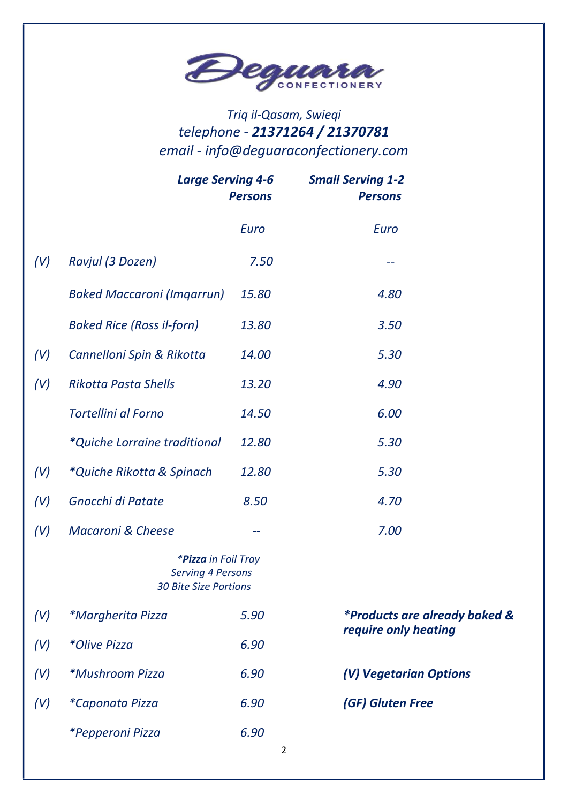

# Triq il-Qasam, Swieqi telephone - 21371264 / 21370781 email - info@deguaraconfectionery.com

|     | <b>Large Serving 4-6</b>                                                        | <b>Persons</b> | <b>Small Serving 1-2</b><br><b>Persons</b> |  |
|-----|---------------------------------------------------------------------------------|----------------|--------------------------------------------|--|
|     |                                                                                 | Euro           | Euro                                       |  |
| (V) | Ravjul (3 Dozen)                                                                | 7.50           |                                            |  |
|     | <b>Baked Maccaroni (Imgarrun)</b>                                               | 15.80          | 4.80                                       |  |
|     | <b>Baked Rice (Ross il-forn)</b>                                                | 13.80          | 3.50                                       |  |
| (V) | Cannelloni Spin & Rikotta                                                       | 14.00          | 5.30                                       |  |
| (V) | <b>Rikotta Pasta Shells</b>                                                     | 13.20          | 4.90                                       |  |
|     | <b>Tortellini al Forno</b>                                                      | 14.50          | 6.00                                       |  |
|     | <i>*Quiche Lorraine traditional</i>                                             | 12.80          | 5.30                                       |  |
| (V) | *Quiche Rikotta & Spinach                                                       | 12.80          | 5.30                                       |  |
| (V) | Gnocchi di Patate                                                               | 8.50           | 4.70                                       |  |
| (V) | <b>Macaroni &amp; Cheese</b>                                                    | --             | 7.00                                       |  |
|     | *Pizza in Foil Tray<br><b>Serving 4 Persons</b><br><b>30 Bite Size Portions</b> |                |                                            |  |
| (V) | <i>*Margherita Pizza</i>                                                        | 5.90           | <i>*Products are already baked &amp;</i>   |  |
| (V) | *Olive Pizza                                                                    | 6.90           | require only heating                       |  |
| (V) | <i>*Mushroom Pizza</i>                                                          | 6.90           | (V) Vegetarian Options                     |  |
| (V) | *Caponata Pizza                                                                 | 6.90           | (GF) Gluten Free                           |  |
|     | *Pepperoni Pizza                                                                | 6.90<br>2      |                                            |  |